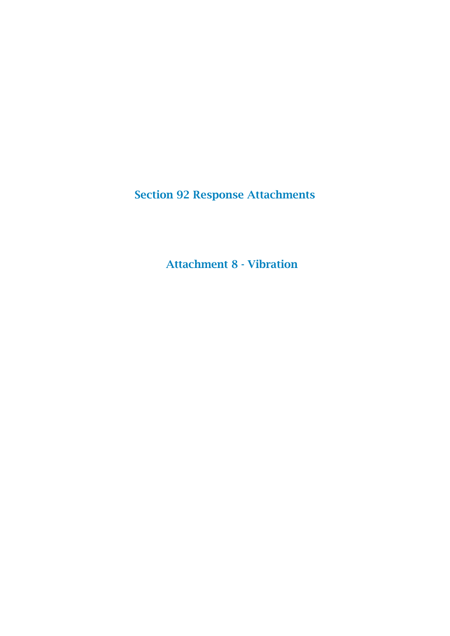Section 92 Response Attachments

Attachment 8 - Vibration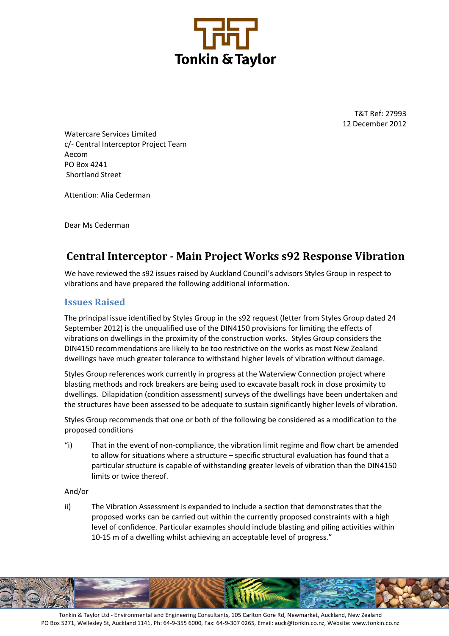

T&T Ref: 27993 12 December 2012

Watercare Services Limited c/- Central Interceptor Project Team Aecom PO Box 4241 Shortland Street

Attention: Alia Cederman

Dear Ms Cederman

# Central Interceptor - Main Project Works s92 Response Vibration

We have reviewed the s92 issues raised by Auckland Council's advisors Styles Group in respect to vibrations and have prepared the following additional information.

### Issues Raised

The principal issue identified by Styles Group in the s92 request (letter from Styles Group dated 24 September 2012) is the unqualified use of the DIN4150 provisions for limiting the effects of vibrations on dwellings in the proximity of the construction works. Styles Group considers the DIN4150 recommendations are likely to be too restrictive on the works as most New Zealand dwellings have much greater tolerance to withstand higher levels of vibration without damage.

Styles Group references work currently in progress at the Waterview Connection project where blasting methods and rock breakers are being used to excavate basalt rock in close proximity to dwellings. Dilapidation (condition assessment) surveys of the dwellings have been undertaken and the structures have been assessed to be adequate to sustain significantly higher levels of vibration.

Styles Group recommends that one or both of the following be considered as a modification to the proposed conditions

"i) That in the event of non-compliance, the vibration limit regime and flow chart be amended to allow for situations where a structure – specific structural evaluation has found that a particular structure is capable of withstanding greater levels of vibration than the DIN4150 limits or twice thereof.

#### And/or

ii) The Vibration Assessment is expanded to include a section that demonstrates that the proposed works can be carried out within the currently proposed constraints with a high level of confidence. Particular examples should include blasting and piling activities within 10-15 m of a dwelling whilst achieving an acceptable level of progress."



Tonkin & Taylor Ltd - Environmental and Engineering Consultants, 105 Carlton Gore Rd, Newmarket, Auckland, New Zealand PO Box 5271, Wellesley St, Auckland 1141, Ph: 64-9-355 6000, Fax: 64-9-307 0265, Email: auck@tonkin.co.nz, Website: www.tonkin.co.nz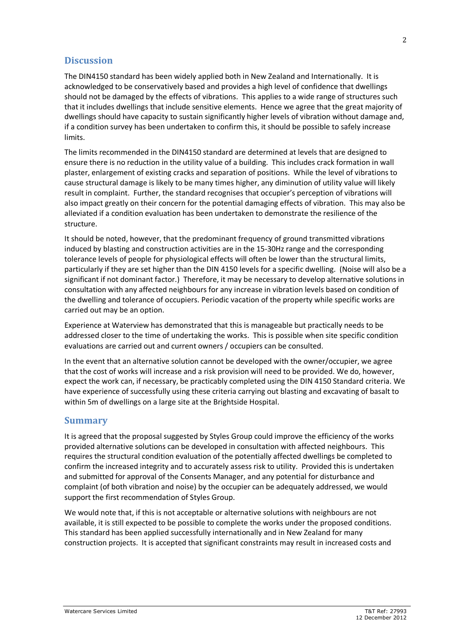## **Discussion**

The DIN4150 standard has been widely applied both in New Zealand and Internationally. It is acknowledged to be conservatively based and provides a high level of confidence that dwellings should not be damaged by the effects of vibrations. This applies to a wide range of structures such that it includes dwellings that include sensitive elements. Hence we agree that the great majority of dwellings should have capacity to sustain significantly higher levels of vibration without damage and, if a condition survey has been undertaken to confirm this, it should be possible to safely increase limits.

The limits recommended in the DIN4150 standard are determined at levels that are designed to ensure there is no reduction in the utility value of a building. This includes crack formation in wall plaster, enlargement of existing cracks and separation of positions. While the level of vibrations to cause structural damage is likely to be many times higher, any diminution of utility value will likely result in complaint. Further, the standard recognises that occupier's perception of vibrations will also impact greatly on their concern for the potential damaging effects of vibration. This may also be alleviated if a condition evaluation has been undertaken to demonstrate the resilience of the structure.

It should be noted, however, that the predominant frequency of ground transmitted vibrations induced by blasting and construction activities are in the 15-30Hz range and the corresponding tolerance levels of people for physiological effects will often be lower than the structural limits, particularly if they are set higher than the DIN 4150 levels for a specific dwelling. (Noise will also be a significant if not dominant factor.) Therefore, it may be necessary to develop alternative solutions in consultation with any affected neighbours for any increase in vibration levels based on condition of the dwelling and tolerance of occupiers. Periodic vacation of the property while specific works are carried out may be an option.

Experience at Waterview has demonstrated that this is manageable but practically needs to be addressed closer to the time of undertaking the works. This is possible when site specific condition evaluations are carried out and current owners / occupiers can be consulted.

In the event that an alternative solution cannot be developed with the owner/occupier, we agree that the cost of works will increase and a risk provision will need to be provided. We do, however, expect the work can, if necessary, be practicably completed using the DIN 4150 Standard criteria. We have experience of successfully using these criteria carrying out blasting and excavating of basalt to within 5m of dwellings on a large site at the Brightside Hospital.

## **Summary**

It is agreed that the proposal suggested by Styles Group could improve the efficiency of the works provided alternative solutions can be developed in consultation with affected neighbours. This requires the structural condition evaluation of the potentially affected dwellings be completed to confirm the increased integrity and to accurately assess risk to utility. Provided this is undertaken and submitted for approval of the Consents Manager, and any potential for disturbance and complaint (of both vibration and noise) by the occupier can be adequately addressed, we would support the first recommendation of Styles Group.

We would note that, if this is not acceptable or alternative solutions with neighbours are not available, it is still expected to be possible to complete the works under the proposed conditions. This standard has been applied successfully internationally and in New Zealand for many construction projects. It is accepted that significant constraints may result in increased costs and